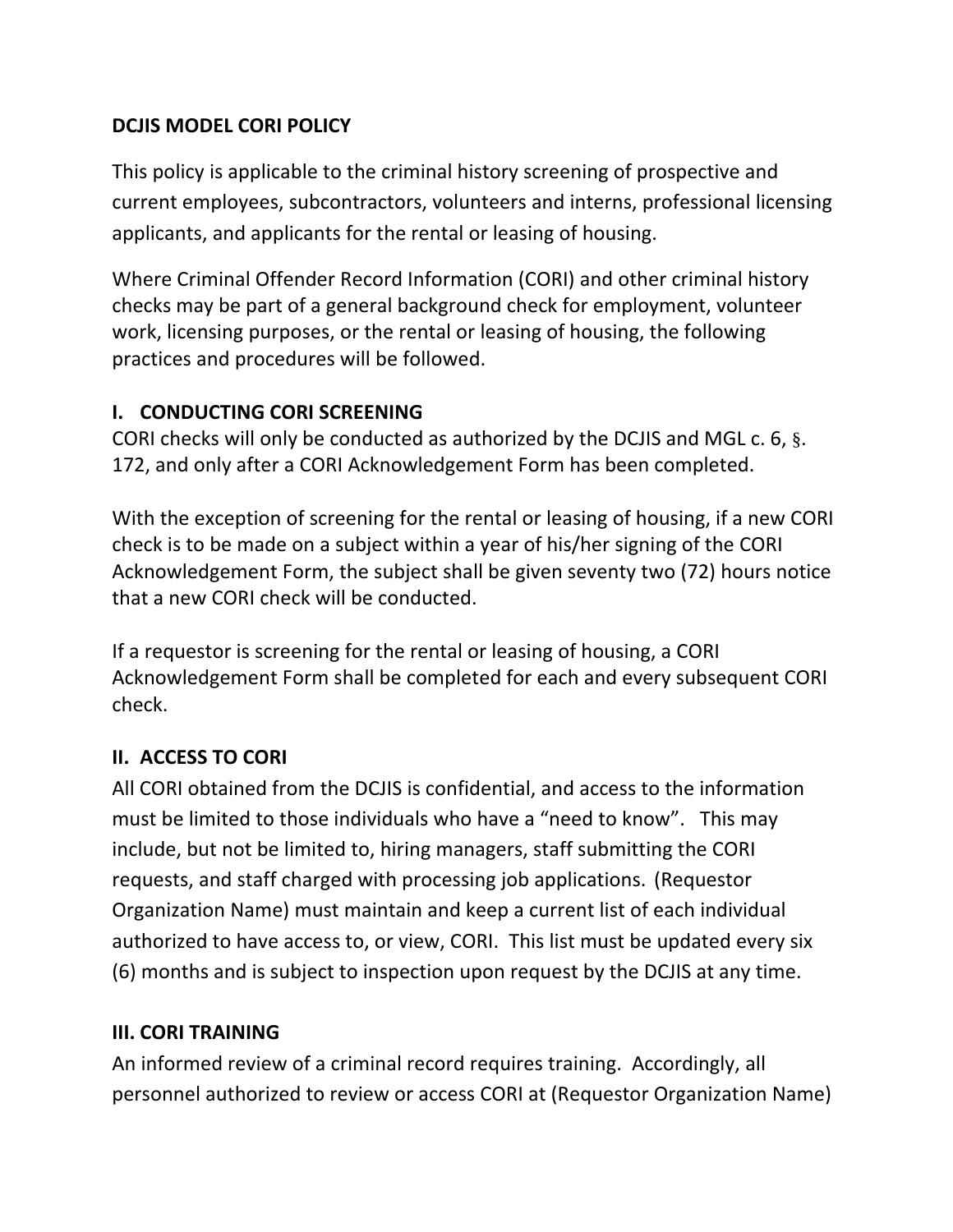#### **DCJIS MODEL CORI POLICY**

This policy is applicable to the criminal history screening of prospective and current employees, subcontractors, volunteers and interns, professional licensing applicants, and applicants for the rental or leasing of housing.

Where Criminal Offender Record Information (CORI) and other criminal history checks may be part of a general background check for employment, volunteer work, licensing purposes, or the rental or leasing of housing, the following practices and procedures will be followed.

#### **I. CONDUCTING CORI SCREENING**

CORI checks will only be conducted as authorized by the DCJIS and MGL c. 6, §. 172, and only after a CORI Acknowledgement Form has been completed.

With the exception of screening for the rental or leasing of housing, if a new CORI check is to be made on a subject within a year of his/her signing of the CORI Acknowledgement Form, the subject shall be given seventy two (72) hours notice that a new CORI check will be conducted.

If a requestor is screening for the rental or leasing of housing, a CORI Acknowledgement Form shall be completed for each and every subsequent CORI check.

# **II. ACCESS TO CORI**

All CORI obtained from the DCJIS is confidential, and access to the information must be limited to those individuals who have a "need to know". This may include, but not be limited to, hiring managers, staff submitting the CORI requests, and staff charged with processing job applications. (Requestor Organization Name) must maintain and keep a current list of each individual authorized to have access to, or view, CORI. This list must be updated every six (6) months and is subject to inspection upon request by the DCJIS at any time.

#### **III. CORI TRAINING**

An informed review of a criminal record requires training. Accordingly, all personnel authorized to review or access CORI at (Requestor Organization Name)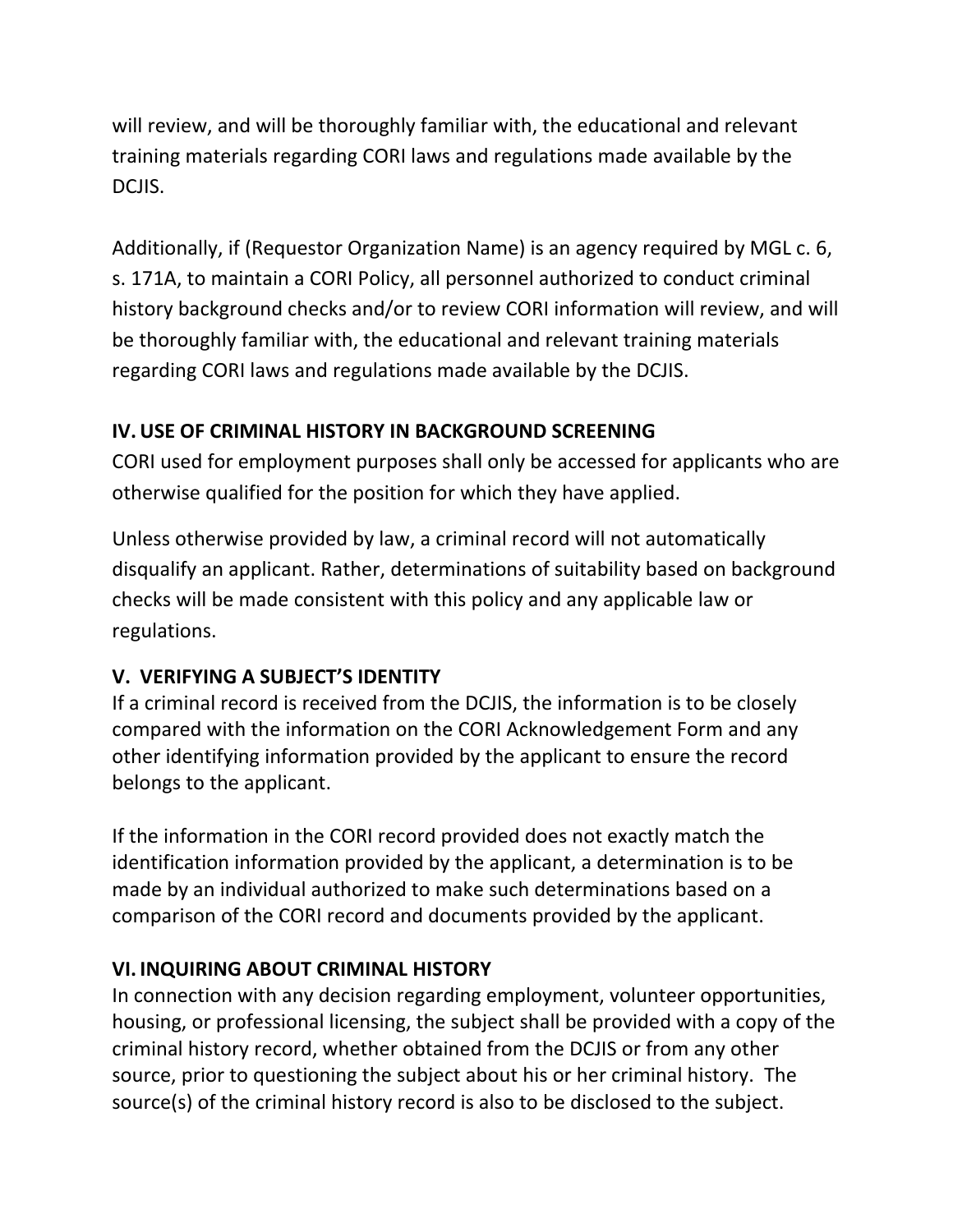will review, and will be thoroughly familiar with, the educational and relevant training materials regarding CORI laws and regulations made available by the DCJIS.

Additionally, if (Requestor Organization Name) is an agency required by MGL c. 6, s. 171A, to maintain a CORI Policy, all personnel authorized to conduct criminal history background checks and/or to review CORI information will review, and will be thoroughly familiar with, the educational and relevant training materials regarding CORI laws and regulations made available by the DCJIS.

#### **IV.USE OF CRIMINAL HISTORY IN BACKGROUND SCREENING**

CORI used for employment purposes shall only be accessed for applicants who are otherwise qualified for the position for which they have applied.

Unless otherwise provided by law, a criminal record will not automatically disqualify an applicant. Rather, determinations of suitability based on background checks will be made consistent with this policy and any applicable law or regulations.

# **V. VERIFYING A SUBJECT'S IDENTITY**

If a criminal record is received from the DCJIS, the information is to be closely compared with the information on the CORI Acknowledgement Form and any other identifying information provided by the applicant to ensure the record belongs to the applicant.

If the information in the CORI record provided does not exactly match the identification information provided by the applicant, a determination is to be made by an individual authorized to make such determinations based on a comparison of the CORI record and documents provided by the applicant.

# **VI. INQUIRING ABOUT CRIMINAL HISTORY**

In connection with any decision regarding employment, volunteer opportunities, housing, or professional licensing, the subject shall be provided with a copy of the criminal history record, whether obtained from the DCJIS or from any other source, prior to questioning the subject about his or her criminal history. The source(s) of the criminal history record is also to be disclosed to the subject.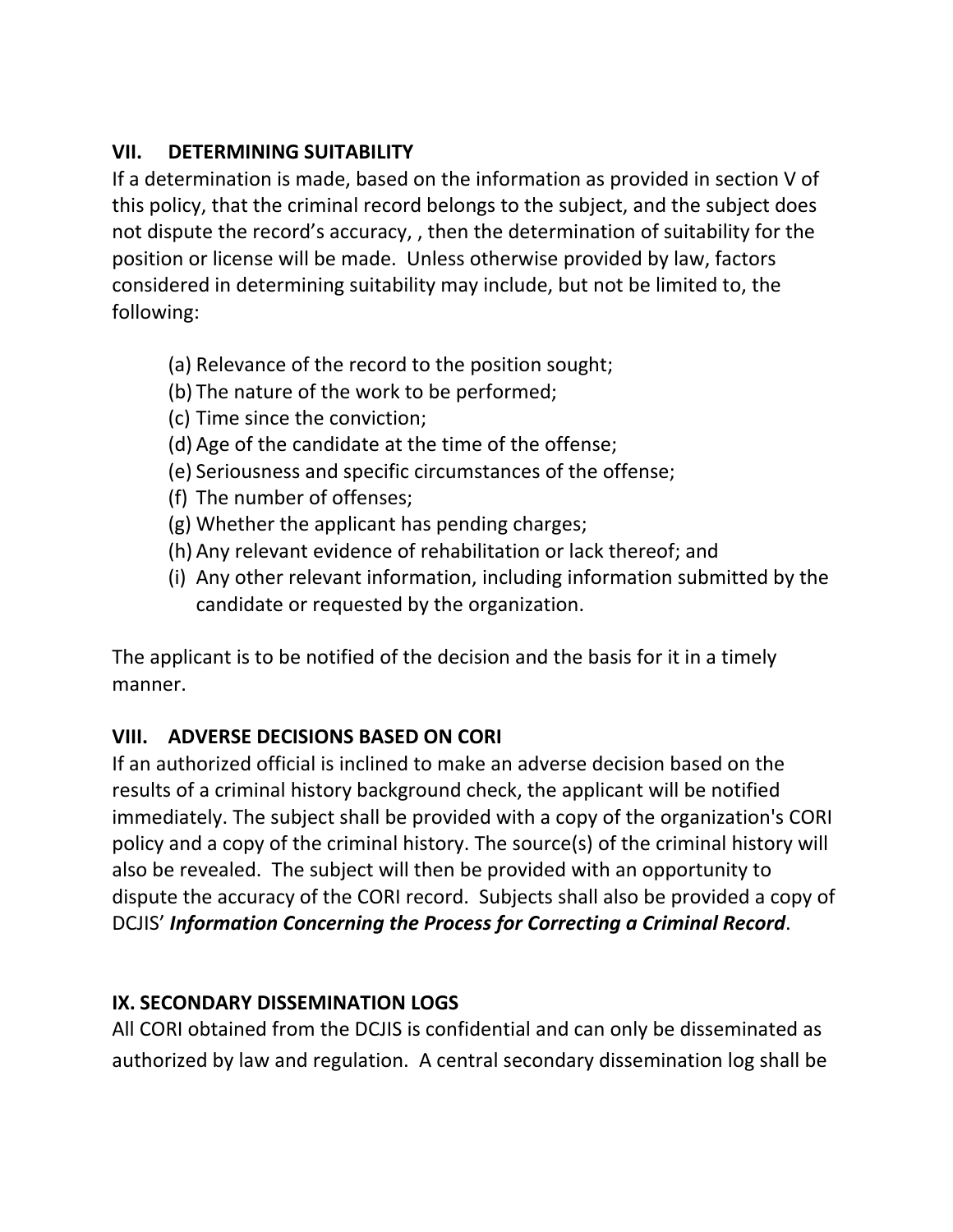#### **VII. DETERMINING SUITABILITY**

If a determination is made, based on the information as provided in section V of this policy, that the criminal record belongs to the subject, and the subject does not dispute the record's accuracy, , then the determination of suitability for the position or license will be made. Unless otherwise provided by law, factors considered in determining suitability may include, but not be limited to, the following:

- (a) Relevance of the record to the position sought;
- (b) The nature of the work to be performed;
- (c) Time since the conviction;
- (d) Age of the candidate at the time of the offense;
- (e) Seriousness and specific circumstances of the offense;
- (f) The number of offenses;
- (g) Whether the applicant has pending charges;
- (h) Any relevant evidence of rehabilitation or lack thereof; and
- (i) Any other relevant information, including information submitted by the candidate or requested by the organization.

The applicant is to be notified of the decision and the basis for it in a timely manner.

# **VIII. ADVERSE DECISIONS BASED ON CORI**

If an authorized official is inclined to make an adverse decision based on the results of a criminal history background check, the applicant will be notified immediately. The subject shall be provided with a copy of the organization's CORI policy and a copy of the criminal history. The source(s) of the criminal history will also be revealed. The subject will then be provided with an opportunity to dispute the accuracy of the CORI record. Subjects shall also be provided a copy of DCJIS' *Information Concerning the Process for Correcting a Criminal Record*.

# **IX. SECONDARY DISSEMINATION LOGS**

All CORI obtained from the DCJIS is confidential and can only be disseminated as authorized by law and regulation. A central secondary dissemination log shall be